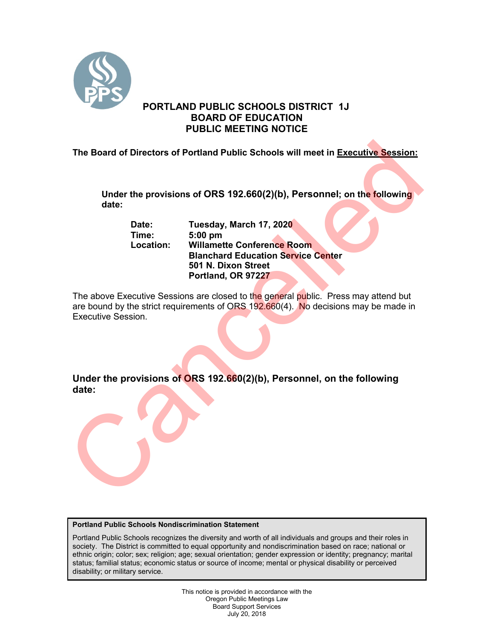

# **PORTLAND PUBLIC SCHOOLS DISTRICT 1J BOARD OF EDUCATION PUBLIC MEETING NOTICE**

**The Board of Directors of Portland Public Schools will meet in Executive Session:** 

**Under the provisions of ORS 192.660(2)(b), Personnel; on the following date:**

**Date: Tuesday, March 17, 2020 Time: 5:00 pm Willamette Conference Room Blanchard Education Service Center 501 N. Dixon Street Portland, OR 97227**

The above Executive Sessions are closed to the general public. Press may attend but are bound by the strict requirements of ORS 192.660(4). No decisions may be made in Executive Session. The Board of Directors of Portland Public Schools will meet in <u>Executive Session:</u><br>
Under the provisions of ORS 192.660(2)(b), Personnel; on the following<br>
date:<br>
Date:<br>
Date: Tuesday, March 17, 2020<br>
Time: 5:00 pm<br>
Locat

**Under the provisions of ORS 192.660(2)(b), Personnel, on the following date:**

## **Portland Public Schools Nondiscrimination Statement**

Portland Public Schools recognizes the diversity and worth of all individuals and groups and their roles in society. The District is committed to equal opportunity and nondiscrimination based on race; national or ethnic origin; color; sex; religion; age; sexual orientation; gender expression or identity; pregnancy; marital status; familial status; economic status or source of income; mental or physical disability or perceived disability; or military service.

> This notice is provided in accordance with the Oregon Public Meetings Law Board Support Services July 20, 2018